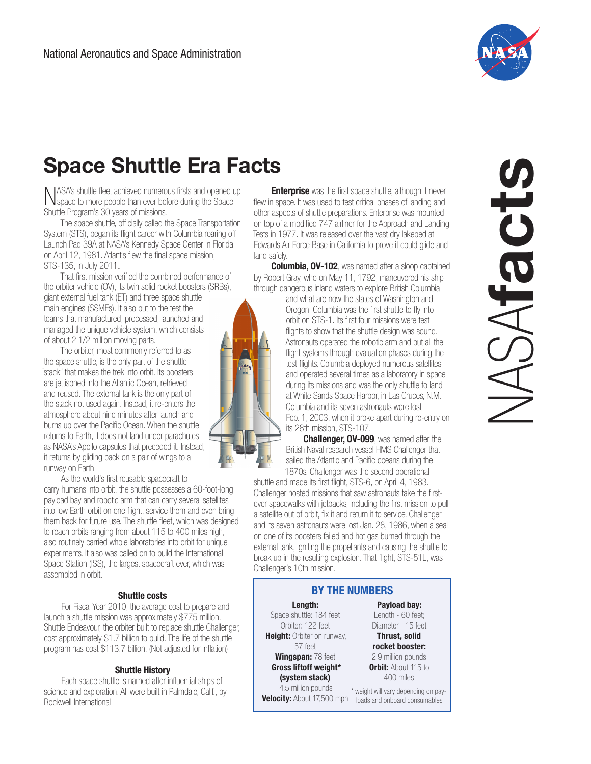

# Space Shuttle Era Facts

NASA's shuttle fleet achieved numerous firsts and opened up space to more people than ever before during the Space Shuttle Program's 30 years of missions.

The space shuttle, officially called the Space Transportation System (STS), began its flight career with Columbia roaring off Launch Pad 39A at NASA's Kennedy Space Center in Florida on April 12, 1981. Atlantis flew the final space mission, STS-135, in July 2011.

That first mission verified the combined performance of the orbiter vehicle (OV), its twin solid rocket boosters (SRBs), giant external fuel tank (ET) and three space shuttle main engines (SSMEs). It also put to the test the teams that manufactured, processed, launched and managed the unique vehicle system, which consists of about 2 1/2 million moving parts.

The orbiter, most commonly referred to as the space shuttle, is the only part of the shuttle "stack" that makes the trek into orbit. Its boosters are jettisoned into the Atlantic Ocean, retrieved and reused. The external tank is the only part of the stack not used again. Instead, it re-enters the atmosphere about nine minutes after launch and burns up over the Pacific Ocean. When the shuttle returns to Earth, it does not land under parachutes as NASA's Apollo capsules that preceded it. Instead, it returns by gliding back on a pair of wings to a runway on Earth.

As the world's first reusable spacecraft to carry humans into orbit, the shuttle possesses a 60-foot-long payload bay and robotic arm that can carry several satellites into low Earth orbit on one flight, service them and even bring them back for future use. The shuttle fleet, which was designed to reach orbits ranging from about 115 to 400 miles high, also routinely carried whole laboratories into orbit for unique experiments. It also was called on to build the International Space Station (ISS), the largest spacecraft ever, which was assembled in orbit.

## Shuttle costs

For Fiscal Year 2010, the average cost to prepare and launch a shuttle mission was approximately \$775 million. Shuttle Endeavour, the orbiter built to replace shuttle Challenger, cost approximately \$1.7 billion to build. The life of the shuttle program has cost \$113.7 billion. (Not adjusted for inflation)

### Shuttle History

Each space shuttle is named after influential ships of science and exploration. All were built in Palmdale, Calif., by Rockwell International.

**[Enterprise](http://science.ksc.nasa.gov/shuttle/resources/orbiters/enterprise.html)** was the first space shuttle, although it never flew in space. It was used to test critical phases of landing and other aspects of shuttle preparations. Enterprise was mounted on top of a modified 747 airliner for the Approach and Landing Tests in 1977. It was released over the vast dry lakebed at Edwards Air Force Base in California to prove it could glide and land safely.

**[Columbia,](http://www.nasa.gov/columbia/home/index.html) OV-102**, was named after a sloop captained by Robert Gray, who on May 11, 1792, maneuvered his ship through dangerous inland waters to explore British Columbia

> and what are now the states of Washington and Oregon. Columbia was the first shuttle to fly into orbit on STS-1. Its first four missions were test flights to show that the shuttle design was sound. Astronauts operated the robotic arm and put all the flight systems through evaluation phases during the test flights. Columbia deployed numerous satellites and operated several times as a laboratory in space during its missions and was the only shuttle to land at White Sands Space Harbor, in Las Cruces, N.M. Columbia and its seven astronauts were lost Feb. 1, 2003, when it broke apart during re-entry on its 28th mission, STS-107.

**[Challenger](http://www.nasa.gov/centers/kennedy/shuttleoperations/orbiters/challenger-info.html), OV-099**, was named after the British Naval research vessel HMS Challenger that sailed the Atlantic and Pacific oceans during the 1870s. Challenger was the second operational

shuttle and made its first flight, STS-6, on April 4, 1983. Challenger hosted missions that saw astronauts take the firstever spacewalks with jetpacks, including the first mission to pull a satellite out of orbit, fix it and return it to service. Challenger and its seven astronauts were lost Jan. 28, 1986, when a seal on one of its boosters failed and hot gas burned through the external tank, igniting the propellants and causing the shuttle to break up in the resulting explosion. That flight, STS-51L, was Challenger's 10th mission.

## BY THE NUMBERS

# Length:

Space shuttle: 184 feet Orbiter: 122 feet Height: Orbiter on runway, 57 feet Wingspan: 78 feet Gross liftoff weight\* (system stack)

 4.5 million pounds Velocity: About 17,500 mph loads and onboard consumables

Payload bay: Length - 60 feet; Diameter - 15 feet Thrust, solid rocket booster: 2.9 million pounds **Orbit:** About 115 to

400 miles \* weight will vary depending on pay-